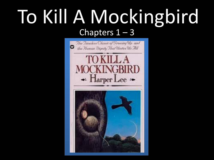## To Kill A Mockingbird Chapters  $1 - 3$

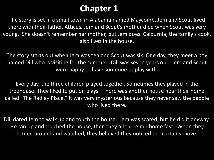## **Chapter 1**

The story is set in a small town in Alabama named Maycomb. Jem and Scout lived there with their father, Atticus. Jem and Scout's mother died when Scout was very young. She doesn't remember her mother, but Jem does. Calpurnia, the family's cook, also lives in the house.

The story starts out when Jem was ten and Scout was six. One day, they meet a boy named Dill who is visiting for the summer. Dill was seven years old. Jem and Scout were happy to have someone to play with.

Every day, the three children played together. Sometimes they played in the treehouse. They liked to put on plays. There was another house near their home called "The Radley Place." It was very mysterious because they never saw the people who lived there.

Dill dared Jem to walk up and touch the house. Jem was scared, but he did it anyway. He ran up and touched the house, then they all three ran home fast. When they turned around and watched, they believed they noticed the curtains move.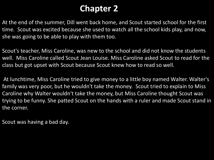## **Chapter 2**

At the end of the summer, Dill went back home, and Scout started school for the first time. Scout was excited because she used to watch all the school kids play, and now, she was going to be able to play with them too.

Scout's teacher, Miss Caroline, was new to the school and did not know the students well. Miss Caroline called Scout Jean Louise. Miss Caroline asked Scout to read for the class but got upset with Scout because Scout knew how to read so well.

At lunchtime, Miss Caroline tried to give money to a little boy named Walter. Walter's family was very poor, but he wouldn't take the money. Scout tried to explain to Miss Caroline why Walter wouldn't take the money, but Miss Caroline thought Scout was trying to be funny. She patted Scout on the hands with a ruler and made Scout stand in the corner.

Scout was having a bad day.